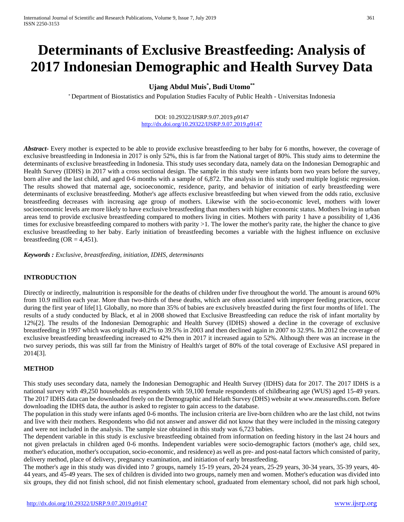# **Determinants of Exclusive Breastfeeding: Analysis of 2017 Indonesian Demographic and Health Survey Data**

# **Ujang Abdul Muis\* , Budi Utomo\*\***

\* Department of Biostatistics and Population Studies Faculty of Public Health - Universitas Indonesia

#### DOI: 10.29322/IJSRP.9.07.2019.p9147 <http://dx.doi.org/10.29322/IJSRP.9.07.2019.p9147>

**Abstract** Every mother is expected to be able to provide exclusive breastfeeding to her baby for 6 months, however, the coverage of exclusive breastfeeding in Indonesia in 2017 is only 52%, this is far from the National target of 80%. This study aims to determine the determinants of exclusive breastfeeding in Indonesia. This study uses secondary data, namely data on the Indonesian Demographic and Health Survey (IDHS) in 2017 with a cross sectional design. The sample in this study were infants born two years before the survey, born alive and the last child, and aged 0-6 months with a sample of 6,872. The analysis in this study used multiple logistic regression. The results showed that maternal age, socioeconomic, residence, parity, and behavior of initiation of early breastfeeding were determinants of exclusive breastfeeding. Mother's age affects exclusive breastfeeding but when viewed from the odds ratio, exclusive breastfeeding decreases with increasing age group of mothers. Likewise with the socio-economic level, mothers with lower socioeconomic levels are more likely to have exclusive breastfeeding than mothers with higher economic status. Mothers living in urban areas tend to provide exclusive breastfeeding compared to mothers living in cities. Mothers with parity 1 have a possibility of 1,436 times for exclusive breastfeeding compared to mothers with parity >1. The lower the mother's parity rate, the higher the chance to give exclusive breastfeeding to her baby. Early initiation of breastfeeding becomes a variable with the highest influence on exclusive breastfeeding  $(OR = 4,451)$ .

*Keywords : Exclusive, breastfeeding, initiation, IDHS, determinants*

# **INTRODUCTION**

Directly or indirectly, malnutrition is responsible for the deaths of children under five throughout the world. The amount is around 60% from 10.9 million each year. More than two-thirds of these deaths, which are often associated with improper feeding practices, occur during the first year of life[1]. Globally, no more than 35% of babies are exclusively breastfed during the first four months of life1. The results of a study conducted by Black, et al in 2008 showed that Exclusive Breastfeeding can reduce the risk of infant mortality by 12%[2]. The results of the Indonesian Demographic and Health Survey (IDHS) showed a decline in the coverage of exclusive breastfeeding in 1997 which was originally 40.2% to 39.5% in 2003 and then declined again in 2007 to 32.9%. In 2012 the coverage of exclusive breastfeeding breastfeeding increased to 42% then in 2017 it increased again to 52%. Although there was an increase in the two survey periods, this was still far from the Ministry of Health's target of 80% of the total coverage of Exclusive ASI prepared in 2014[3].

#### **METHOD**

This study uses secondary data, namely the Indonesian Demographic and Health Survey (IDHS) data for 2017. The 2017 IDHS is a national survey with 49,250 households as respondents with 59,100 female respondents of childbearing age (WUS) aged 15-49 years. The 2017 IDHS data can be downloaded freely on the Demographic and Helath Survey (DHS) website at www.measuredhs.com. Before downloading the IDHS data, the author is asked to register to gain access to the database.

The population in this study were infants aged 0-6 months. The inclusion criteria are live-born children who are the last child, not twins and live with their mothers. Respondents who did not answer and answer did not know that they were included in the missing category and were not included in the analysis. The sample size obtained in this study was 6,723 babies.

The dependent variable in this study is exclusive breastfeeding obtained from information on feeding history in the last 24 hours and not given prelactals in children aged 0-6 months. Independent variables were socio-demographic factors (mother's age, child sex, mother's education, mother's occupation, socio-economic, and residence) as well as pre- and post-natal factors which consisted of parity, delivery method, place of delivery, pregnancy examination, and initiation of early breastfeeding.

The mother's age in this study was divided into 7 groups, namely 15-19 years, 20-24 years, 25-29 years, 30-34 years, 35-39 years, 40- 44 years, and 45-49 years. The sex of children is divided into two groups, namely men and women. Mother's education was divided into six groups, they did not finish school, did not finish elementary school, graduated from elementary school, did not park high school,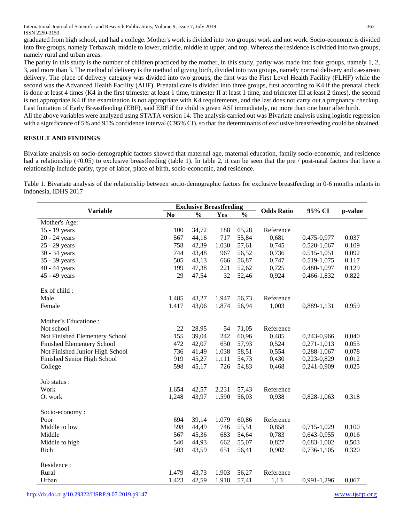International Journal of Scientific and Research Publications, Volume 9, Issue 7, July 2019 362 ISSN 2250-3153

graduated from high school, and had a college. Mother's work is divided into two groups: work and not work. Socio-economic is divided into five groups, namely Terbawah, middle to lower, middle, middle to upper, and top. Whereas the residence is divided into two groups, namely rural and urban areas.

The parity in this study is the number of children practiced by the mother, in this study, parity was made into four groups, namely 1, 2, 3, and more than 3. The method of delivery is the method of giving birth, divided into two groups, namely normal delivery and caesarean delivery. The place of delivery category was divided into two groups, the first was the First Level Health Facility (FLHF) while the second was the Advanced Health Facility (AHF). Prenatal care is divided into three groups, first according to K4 if the prenatal check is done at least 4 times (K4 in the first trimester at least 1 time, trimester II at least 1 time, and trimester III at least 2 times), the second is not appropriate K4 if the examination is not appropriate with K4 requirements, and the last does not carry out a pregnancy checkup. Last Initiation of Early Breastfeeding (EBF), said EBF if the child is given ASI immediately, no more than one hour after birth.

All the above variables were analyzed using STATA version 14. The analysis carried out was Bivariate analysis using logistic regression with a significance of 5% and 95% confidence interval (C95% CI), so that the determinants of exclusive breastfeeding could be obtained.

# **RESULT AND FINDINGS**

Bivariate analysis on socio-demographic factors showed that maternal age, maternal education, family socio-economic, and residence had a relationship  $\leq 0.05$  to exclusive breastfeeding (table 1). In table 2, it can be seen that the pre / post-natal factors that have a relationship include parity, type of labor, place of birth, socio-economic, and residence.

Table 1. Bivariate analysis of the relationship between socio-demographic factors for exclusive breastfeeding in 0-6 months infants in Indonesia, IDHS 2017

| <b>Variable</b>                   | <b>Exclusive Breastfeeding</b> |               |       |               |                   |                 |         |
|-----------------------------------|--------------------------------|---------------|-------|---------------|-------------------|-----------------|---------|
|                                   | No                             | $\frac{0}{0}$ | Yes   | $\frac{0}{0}$ | <b>Odds Ratio</b> | 95% CI          | p-value |
| Mother's Age:                     |                                |               |       |               |                   |                 |         |
| 15 - 19 years                     | 100                            | 34,72         | 188   | 65,28         | Reference         |                 |         |
| 20 - 24 years                     | 567                            | 44,16         | 717   | 55,84         | 0,681             | 0.475-0,977     | 0.037   |
| 25 - 29 years                     | 758                            | 42,39         | 1.030 | 57,61         | 0,745             | $0.520 - 1,067$ | 0.109   |
| 30 - 34 years                     | 744                            | 43,48         | 967   | 56,52         | 0,736             | $0.515 - 1,051$ | 0.092   |
| 35 - 39 years                     | 505                            | 43,13         | 666   | 56,87         | 0,747             | 0.519-1,075     | 0.117   |
| 40 - 44 years                     | 199                            | 47,38         | 221   | 52,62         | 0,725             | 0.480-1,097     | 0.129   |
| 45 - 49 years                     | 29                             | 47,54         | 32    | 52,46         | 0,924             | 0.466-1,832     | 0.822   |
| Ex of child:                      |                                |               |       |               |                   |                 |         |
| Male                              | 1.485                          | 43,27         | 1.947 | 56,73         | Reference         |                 |         |
| Female                            | 1.417                          | 43,06         | 1.874 | 56,94         | 1,003             | 0,889-1,131     | 0,959   |
| Mother's Educatione:              |                                |               |       |               |                   |                 |         |
| Not school                        | 22                             | 28,95         | 54    | 71,05         | Reference         |                 |         |
| Not Finished Elementery School    | 155                            | 39,04         | 242   | 60,96         | 0,485             | 0,243-0,966     | 0,040   |
| <b>Finished Elementery School</b> | 472                            | 42,07         | 650   | 57,93         | 0,524             | $0,271-1,013$   | 0,055   |
| Not Finished Junior High School   | 736                            | 41,49         | 1.038 | 58,51         | 0,554             | 0,288-1,067     | 0,078   |
| Finished Senior High School       | 919                            | 45,27         | 1.111 | 54,73         | 0,430             | 0,223-0,829     | 0,012   |
| College                           | 598                            | 45,17         | 726   | 54,83         | 0,468             | 0,241-0,909     | 0,025   |
| Job status :                      |                                |               |       |               |                   |                 |         |
| Work                              | 1.654                          | 42,57         | 2.231 | 57,43         | Reference         |                 |         |
| Ot work                           | 1,248                          | 43,97         | 1.590 | 56,03         | 0,938             | 0,828-1,063     | 0,318   |
| Socio-economy:                    |                                |               |       |               |                   |                 |         |
| Poor                              | 694                            | 39,14         | 1.079 | 60,86         | Reference         |                 |         |
| Middle to low                     | 598                            | 44,49         | 746   | 55,51         | 0,858             | 0,715-1,029     | 0,100   |
| Middle                            | 567                            | 45,36         | 683   | 54,64         | 0,783             | 0,643-0,955     | 0,016   |
| Middle to high                    | 540                            | 44,93         | 662   | 55,07         | 0,827             | 0,683-1,002     | 0,503   |
| Rich                              | 503                            | 43,59         | 651   | 56,41         | 0,902             | 0,736-1,105     | 0,320   |
| Residence:                        |                                |               |       |               |                   |                 |         |
| Rural                             | 1.479                          | 43,73         | 1.903 | 56,27         | Reference         |                 |         |
| Urban                             | 1.423                          | 42,59         | 1.918 | 57,41         | 1,13              | 0,991-1,296     | 0,067   |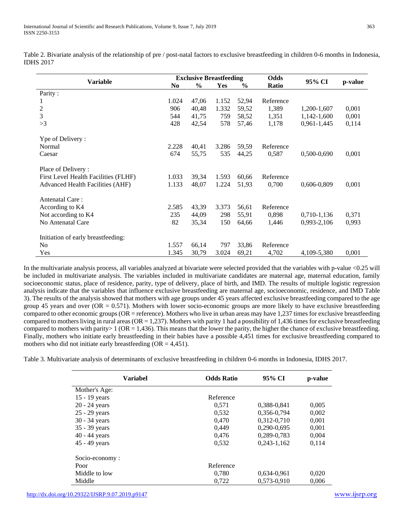Table 2. Bivariate analysis of the relationship of pre / post-natal factors to exclusive breastfeeding in children 0-6 months in Indonesia, IDHS 2017

| <b>Variable</b>                         |                | <b>Exclusive Breastfeeding</b> |       |       |           |               |         |
|-----------------------------------------|----------------|--------------------------------|-------|-------|-----------|---------------|---------|
|                                         | N <sub>0</sub> | $\frac{6}{9}$                  | Yes   | $\%$  | Ratio     | 95% CI        | p-value |
| Parity:                                 |                |                                |       |       |           |               |         |
| $\mathbf{I}$                            | 1.024          | 47,06                          | 1.152 | 52,94 | Reference |               |         |
| 2                                       | 906            | 40,48                          | 1.332 | 59,52 | 1,389     | 1,200-1,607   | 0,001   |
| 3                                       | 544            | 41,75                          | 759   | 58,52 | 1,351     | 1,142-1,600   | 0,001   |
| >3                                      | 428            | 42,54                          | 578   | 57,46 | 1,178     | $0,961-1,445$ | 0,114   |
| Ype of Delivery:                        |                |                                |       |       |           |               |         |
| Normal                                  | 2.228          | 40,41                          | 3.286 | 59,59 | Reference |               |         |
| Caesar                                  | 674            | 55,75                          | 535   | 44,25 | 0,587     | 0,500-0,690   | 0,001   |
| Place of Delivery:                      |                |                                |       |       |           |               |         |
| First Level Health Facilities (FLHF)    | 1.033          | 39,34                          | 1.593 | 60,66 | Reference |               |         |
| <b>Advanced Health Facilities (AHF)</b> | 1.133          | 48,07                          | 1.224 | 51,93 | 0,700     | 0,606-0,809   | 0,001   |
| Antenatal Care:                         |                |                                |       |       |           |               |         |
| According to K4                         | 2.585          | 43,39                          | 3.373 | 56,61 | Reference |               |         |
| Not according to K4                     | 235            | 44,09                          | 298   | 55,91 | 0,898     | 0,710-1,136   | 0,371   |
| No Antenatal Care                       | 82             | 35,34                          | 150   | 64,66 | 1,446     | 0,993-2,106   | 0,993   |
| Initiation of early breastfeeding:      |                |                                |       |       |           |               |         |
| N <sub>o</sub>                          | 1.557          | 66,14                          | 797   | 33,86 | Reference |               |         |
| Yes                                     | 1.345          | 30,79                          | 3.024 | 69,21 | 4,702     | 4,109-5,380   | 0,001   |

In the multivariate analysis process, all variables analyzed at bivariate were selected provided that the variables with p-value <0.25 will be included in multivariate analysis. The variables included in multivariate candidates are maternal age, maternal education, family socioeconomic status, place of residence, parity, type of delivery, place of birth, and IMD. The results of multiple logistic regression analysis indicate that the variables that influence exclusive breastfeeding are maternal age, socioeconomic, residence, and IMD Table 3). The results of the analysis showed that mothers with age groups under 45 years affected exclusive breastfeeding compared to the age group 45 years and over ( $OR = 0.571$ ). Mothers with lower socio-economic groups are more likely to have exclusive breastfeeding compared to other economic groups (OR = reference). Mothers who live in urban areas may have 1,237 times for exclusive breastfeeding compared to mothers living in rural areas ( $OR = 1,237$ ). Mothers with parity 1 had a possibility of 1,436 times for exclusive breastfeeding compared to mothers with parity  $\geq 1$  (OR = 1,436). This means that the lower the parity, the higher the chance of exclusive breastfeeding. Finally, mothers who initiate early breastfeeding in their babies have a possible 4,451 times for exclusive breastfeeding compared to mothers who did not initiate early breastfeeding  $(OR = 4,451)$ .

Table 3. Multivariate analysis of determinants of exclusive breastfeeding in children 0-6 months in Indonesia, IDHS 2017.

| <b>Variabel</b> | <b>Odds Ratio</b> | 95% CI          | p-value |  |
|-----------------|-------------------|-----------------|---------|--|
| Mother's Age:   |                   |                 |         |  |
| 15 - 19 years   | Reference         |                 |         |  |
| $20 - 24$ years | 0.571             | 0.388-0.841     | 0,005   |  |
| 25 - 29 years   | 0,532             | 0,356-0,794     | 0,002   |  |
| $30 - 34$ years | 0.470             | 0,312-0,710     | 0,001   |  |
| 35 - 39 years   | 0,449             | $0.290 - 0.695$ | 0,001   |  |
| $40 - 44$ years | 0,476             | 0,289-0,783     | 0,004   |  |
| 45 - 49 years   | 0,532             | $0,243-1,162$   | 0,114   |  |
| Socio-economy:  |                   |                 |         |  |
| Poor            | Reference         |                 |         |  |
| Middle to low   | 0,780             | 0.634-0.961     | 0,020   |  |
| Middle          | 0,722             | 0,573-0,910     | 0,006   |  |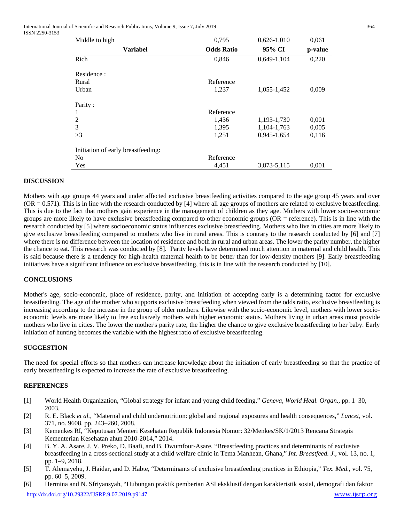International Journal of Scientific and Research Publications, Volume 9, Issue 7, July 2019 364 ISSN 2250-3153

| Middle to high                     | 0,795              | $0,626-1,010$ | 0,061   |
|------------------------------------|--------------------|---------------|---------|
| <b>Variabel</b>                    | <b>Odds Ratio</b>  | 95% CI        | p-value |
| Rich                               | 0,846              | $0,649-1,104$ | 0,220   |
| Residence:<br>Rural<br>Urban       | Reference<br>1,237 | 1,055-1,452   | 0,009   |
| Parity:                            |                    |               |         |
|                                    | Reference          |               |         |
| 2                                  | 1,436              | 1,193-1,730   | 0,001   |
| 3                                  | 1,395              | 1,104-1,763   | 0,005   |
| >3                                 | 1,251              | 0,945-1,654   | 0,116   |
| Initiation of early breastfeeding: |                    |               |         |
| N <sub>0</sub>                     | Reference          |               |         |
| Yes                                | 4.451              | 3.873-5.115   | 0.001   |

#### **DISCUSSION**

Mothers with age groups 44 years and under affected exclusive breastfeeding activities compared to the age group 45 years and over  $(OR = 0.571)$ . This is in line with the research conducted by [4] where all age groups of mothers are related to exclusive breastfeeding. This is due to the fact that mothers gain experience in the management of children as they age. Mothers with lower socio-economic groups are more likely to have exclusive breastfeeding compared to other economic groups (OR = reference). This is in line with the research conducted by [5] where socioeconomic status influences exclusive breastfeeding. Mothers who live in cities are more likely to give exclusive breastfeeding compared to mothers who live in rural areas. This is contrary to the research conducted by [6] and [7] where there is no difference between the location of residence and both in rural and urban areas. The lower the parity number, the higher the chance to eat. This research was conducted by [8]. Parity levels have determined much attention in maternal and child health. This is said because there is a tendency for high-health maternal health to be better than for low-density mothers [9]. Early breastfeeding initiatives have a significant influence on exclusive breastfeeding, this is in line with the research conducted by [10].

#### **CONCLUSIONS**

Mother's age, socio-economic, place of residence, parity, and initiation of accepting early is a determining factor for exclusive breastfeeding. The age of the mother who supports exclusive breastfeeding when viewed from the odds ratio, exclusive breastfeeding is increasing according to the increase in the group of older mothers. Likewise with the socio-economic level, mothers with lower socioeconomic levels are more likely to free exclusively mothers with higher economic status. Mothers living in urban areas must provide mothers who live in cities. The lower the mother's parity rate, the higher the chance to give exclusive breastfeeding to her baby. Early initiation of hunting becomes the variable with the highest ratio of exclusive breastfeeding.

#### **SUGGESTION**

The need for special efforts so that mothers can increase knowledge about the initiation of early breastfeeding so that the practice of early breastfeeding is expected to increase the rate of exclusive breastfeeding.

# **REFERENCES**

- [1] World Health Organization, "Global strategy for infant and young child feeding," *Geneva, World Heal. Organ.*, pp. 1–30, 2003.
- [2] R. E. Black *et al.*, "Maternal and child undernutrition: global and regional exposures and health consequences," *Lancet*, vol. 371, no. 9608, pp. 243–260, 2008.
- [3] Kemenkes RI, "Keputusan Menteri Kesehatan Republik Indonesia Nomor: 32/Menkes/SK/1/2013 Rencana Strategis Kementerian Kesehatan ahun 2010-2014," 2014.
- [4] B. Y. A. Asare, J. V. Preko, D. Baafi, and B. Dwumfour-Asare, "Breastfeeding practices and determinants of exclusive breastfeeding in a cross-sectional study at a child welfare clinic in Tema Manhean, Ghana," *Int. Breastfeed. J.*, vol. 13, no. 1, pp. 1–9, 2018.
- [5] T. Alemayehu, J. Haidar, and D. Habte, "Determinants of exclusive breastfeeding practices in Ethiopia," *Tex. Med.*, vol. 75, pp. 60–5, 2009.
- <http://dx.doi.org/10.29322/IJSRP.9.07.2019.p9147> [www.ijsrp.org](http://ijsrp.org/) [6] Hermina and N. Sfriyansyah, "Hubungan praktik pemberian ASI eksklusif dengan karakteristik sosial, demografi dan faktor